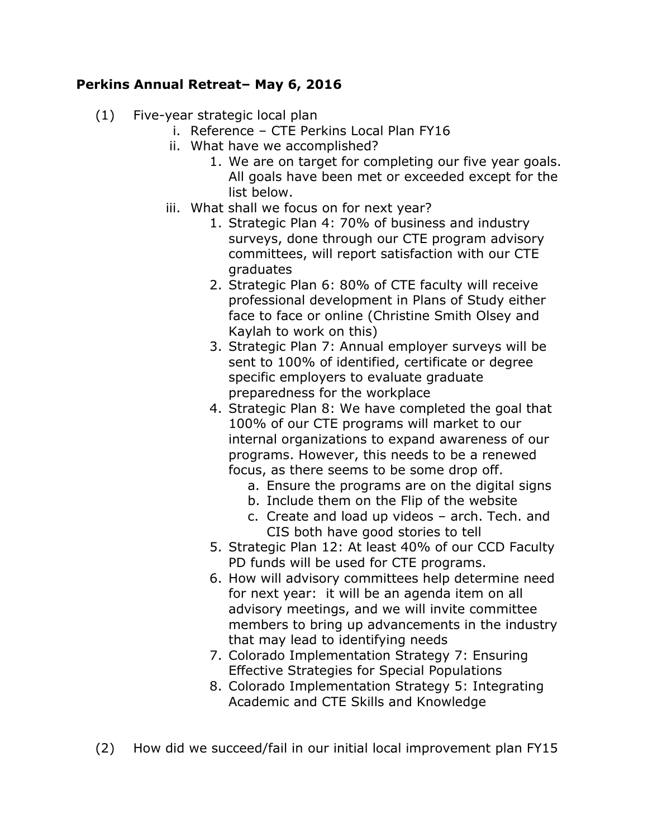## **Perkins Annual Retreat– May 6, 2016**

- (1) Five-year strategic local plan
	- i. Reference CTE Perkins Local Plan FY16
	- ii. What have we accomplished?
		- 1. We are on target for completing our five year goals. All goals have been met or exceeded except for the list below.
	- iii. What shall we focus on for next year?
		- 1. Strategic Plan 4: 70% of business and industry surveys, done through our CTE program advisory committees, will report satisfaction with our CTE graduates
		- 2. Strategic Plan 6: 80% of CTE faculty will receive professional development in Plans of Study either face to face or online (Christine Smith Olsey and Kaylah to work on this)
		- 3. Strategic Plan 7: Annual employer surveys will be sent to 100% of identified, certificate or degree specific employers to evaluate graduate preparedness for the workplace
		- 4. Strategic Plan 8: We have completed the goal that 100% of our CTE programs will market to our internal organizations to expand awareness of our programs. However, this needs to be a renewed focus, as there seems to be some drop off.
			- a. Ensure the programs are on the digital signs
			- b. Include them on the Flip of the website
			- c. Create and load up videos arch. Tech. and CIS both have good stories to tell
		- 5. Strategic Plan 12: At least 40% of our CCD Faculty PD funds will be used for CTE programs.
		- 6. How will advisory committees help determine need for next year: it will be an agenda item on all advisory meetings, and we will invite committee members to bring up advancements in the industry that may lead to identifying needs
		- 7. Colorado Implementation Strategy 7: Ensuring Effective Strategies for Special Populations
		- 8. Colorado Implementation Strategy 5: Integrating Academic and CTE Skills and Knowledge
- (2) How did we succeed/fail in our initial local improvement plan FY15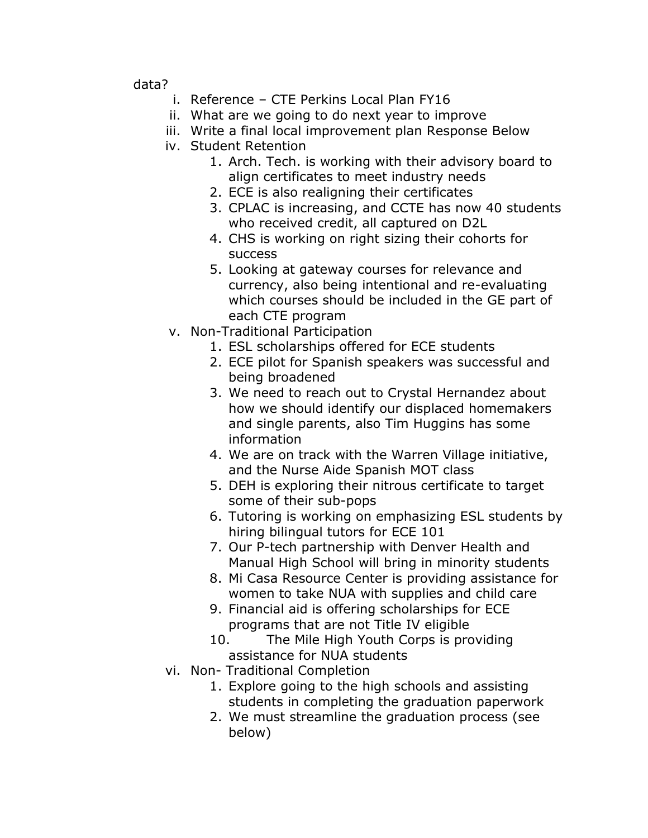data?

- i. Reference CTE Perkins Local Plan FY16
- ii. What are we going to do next year to improve
- iii. Write a final local improvement plan Response Below
- iv. Student Retention
	- 1. Arch. Tech. is working with their advisory board to align certificates to meet industry needs
	- 2. ECE is also realigning their certificates
	- 3. CPLAC is increasing, and CCTE has now 40 students who received credit, all captured on D2L
	- 4. CHS is working on right sizing their cohorts for success
	- 5. Looking at gateway courses for relevance and currency, also being intentional and re-evaluating which courses should be included in the GE part of each CTE program
- v. Non-Traditional Participation
	- 1. ESL scholarships offered for ECE students
	- 2. ECE pilot for Spanish speakers was successful and being broadened
	- 3. We need to reach out to Crystal Hernandez about how we should identify our displaced homemakers and single parents, also Tim Huggins has some information
	- 4. We are on track with the Warren Village initiative, and the Nurse Aide Spanish MOT class
	- 5. DEH is exploring their nitrous certificate to target some of their sub-pops
	- 6. Tutoring is working on emphasizing ESL students by hiring bilingual tutors for ECE 101
	- 7. Our P-tech partnership with Denver Health and Manual High School will bring in minority students
	- 8. Mi Casa Resource Center is providing assistance for women to take NUA with supplies and child care
	- 9. Financial aid is offering scholarships for ECE programs that are not Title IV eligible
	- 10. The Mile High Youth Corps is providing assistance for NUA students
- vi. Non- Traditional Completion
	- 1. Explore going to the high schools and assisting students in completing the graduation paperwork
	- 2. We must streamline the graduation process (see below)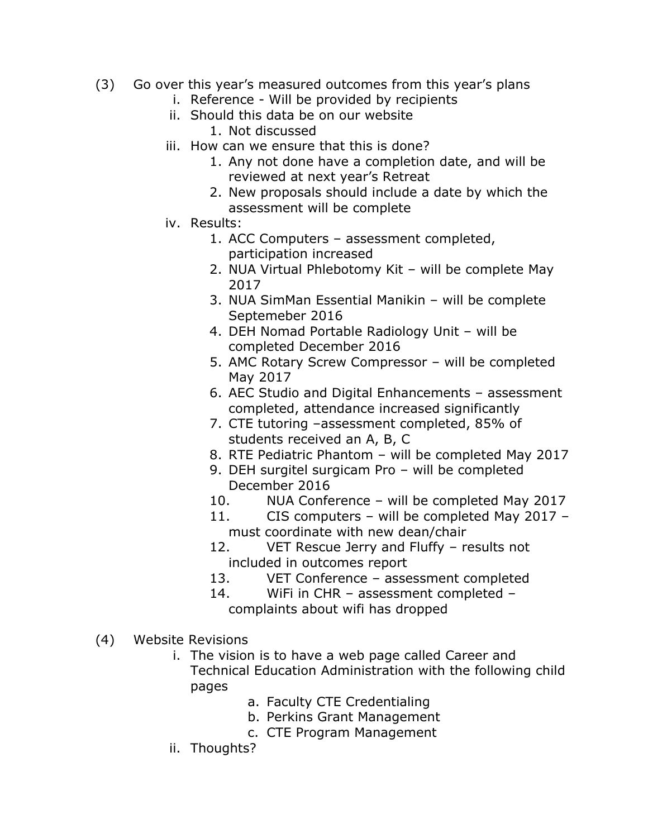- (3) Go over this year's measured outcomes from this year's plans
	- i. Reference Will be provided by recipients
	- ii. Should this data be on our website
		- 1. Not discussed
	- iii. How can we ensure that this is done?
		- 1. Any not done have a completion date, and will be reviewed at next year's Retreat
		- 2. New proposals should include a date by which the assessment will be complete
	- iv. Results:
		- 1. ACC Computers assessment completed, participation increased
		- 2. NUA Virtual Phlebotomy Kit will be complete May 2017
		- 3. NUA SimMan Essential Manikin will be complete Septemeber 2016
		- 4. DEH Nomad Portable Radiology Unit will be completed December 2016
		- 5. AMC Rotary Screw Compressor will be completed May 2017
		- 6. AEC Studio and Digital Enhancements assessment completed, attendance increased significantly
		- 7. CTE tutoring –assessment completed, 85% of students received an A, B, C
		- 8. RTE Pediatric Phantom will be completed May 2017
		- 9. DEH surgitel surgicam Pro will be completed December 2016
		- 10. NUA Conference will be completed May 2017
		- 11. CIS computers will be completed May 2017 must coordinate with new dean/chair
		- 12. VET Rescue Jerry and Fluffy results not included in outcomes report
		- 13. VET Conference assessment completed
		- 14. WiFi in CHR assessment completed complaints about wifi has dropped
- (4) Website Revisions
	- i. The vision is to have a web page called Career and Technical Education Administration with the following child pages
		- a. Faculty CTE Credentialing
		- b. Perkins Grant Management
		- c. CTE Program Management
	- ii. Thoughts?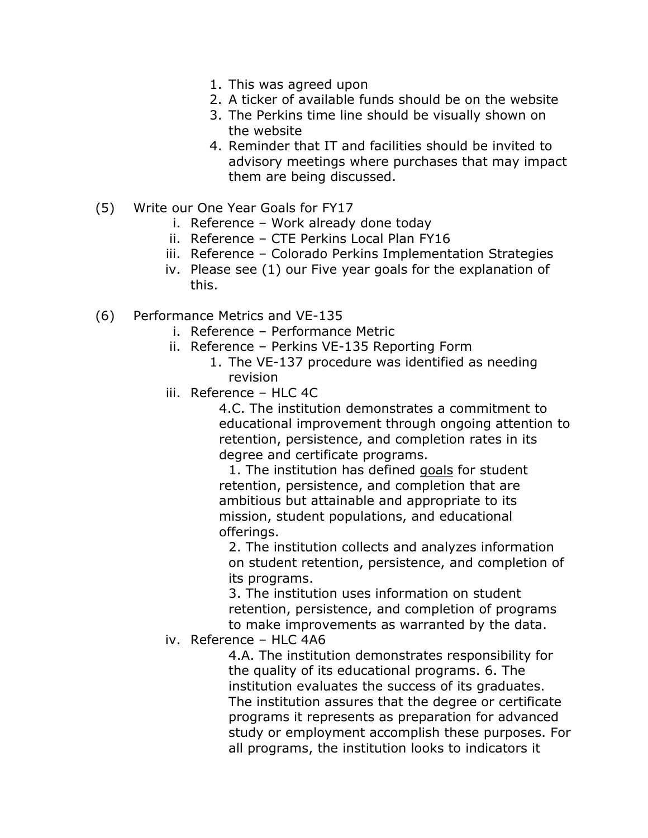- 1. This was agreed upon
- 2. A ticker of available funds should be on the website
- 3. The Perkins time line should be visually shown on the website
- 4. Reminder that IT and facilities should be invited to advisory meetings where purchases that may impact them are being discussed.
- (5) Write our One Year Goals for FY17
	- i. Reference Work already done today
	- ii. Reference CTE Perkins Local Plan FY16
	- iii. Reference Colorado Perkins Implementation Strategies
	- iv. Please see (1) our Five year goals for the explanation of this.
- (6) Performance Metrics and VE-135
	- i. Reference Performance Metric
	- ii. Reference Perkins VE-135 Reporting Form
		- 1. The VE-137 procedure was identified as needing revision
	- iii. Reference HLC 4C

4.C. The institution demonstrates a commitment to educational improvement through ongoing attention to retention, persistence, and completion rates in its degree and certificate programs.

1. The institution has defined [goals](https://www.hlcommission.org/Criteria-Eligibility-and-Candidacy/glossary-new-criteria-for-accreditation.html) for student retention, persistence, and completion that are ambitious but attainable and appropriate to its mission, student populations, and educational offerings.

2. The institution collects and analyzes information on student retention, persistence, and completion of its programs.

3. The institution uses information on student retention, persistence, and completion of programs to make improvements as warranted by the data.

iv. Reference – HLC 4A6

4.A. The institution demonstrates responsibility for the quality of its educational programs. 6. The institution evaluates the success of its graduates. The institution assures that the degree or certificate programs it represents as preparation for advanced study or employment accomplish these purposes. For all programs, the institution looks to indicators it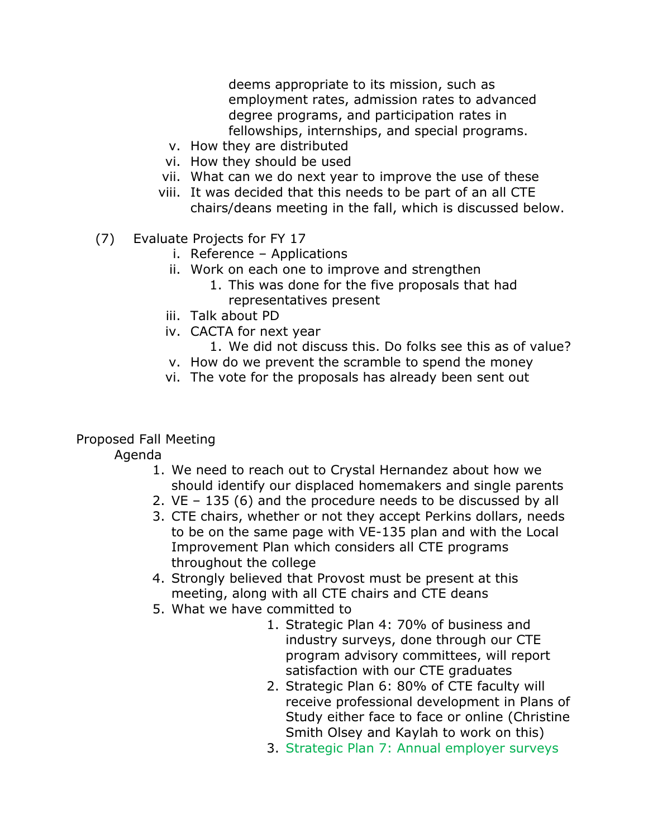deems appropriate to its mission, such as employment rates, admission rates to advanced degree programs, and participation rates in fellowships, internships, and special programs.

- v. How they are distributed
- vi. How they should be used
- vii. What can we do next year to improve the use of these
- viii. It was decided that this needs to be part of an all CTE chairs/deans meeting in the fall, which is discussed below.
- (7) Evaluate Projects for FY 17
	- i. Reference Applications
	- ii. Work on each one to improve and strengthen
		- 1. This was done for the five proposals that had representatives present
	- iii. Talk about PD
	- iv. CACTA for next year
		- 1. We did not discuss this. Do folks see this as of value?
	- v. How do we prevent the scramble to spend the money
	- vi. The vote for the proposals has already been sent out

## Proposed Fall Meeting

Agenda

- 1. We need to reach out to Crystal Hernandez about how we should identify our displaced homemakers and single parents
- 2. VE 135 (6) and the procedure needs to be discussed by all
- 3. CTE chairs, whether or not they accept Perkins dollars, needs to be on the same page with VE-135 plan and with the Local Improvement Plan which considers all CTE programs throughout the college
- 4. Strongly believed that Provost must be present at this meeting, along with all CTE chairs and CTE deans
- 5. What we have committed to
	- 1. Strategic Plan 4: 70% of business and industry surveys, done through our CTE program advisory committees, will report satisfaction with our CTE graduates
	- 2. Strategic Plan 6: 80% of CTE faculty will receive professional development in Plans of Study either face to face or online (Christine Smith Olsey and Kaylah to work on this)
	- 3. Strategic Plan 7: Annual employer surveys